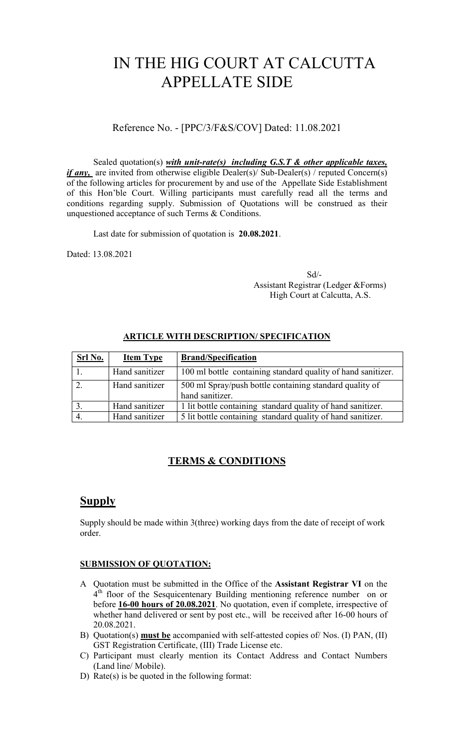# IN THE HIG COURT AT CALCUTTA APPELLATE SIDE

Reference No. - [PPC/3/F&S/COV] Dated: 11.08.2021

Sealed quotation(s) *with unit-rate(s) including G.S.T & other applicable taxes, if any*, are invited from otherwise eligible Dealer(s)/ Sub-Dealer(s) / reputed Concern(s) of the following articles for procurement by and use of the Appellate Side Establishment of this Hon'ble Court. Willing participants must carefully read all the terms and conditions regarding supply. Submission of Quotations will be construed as their unquestioned acceptance of such Terms & Conditions.

Last date for submission of quotation is 20.08.2021.

Dated: 13.08.2021

Sd/- Assistant Registrar (Ledger &Forms) High Court at Calcutta, A.S.

#### ARTICLE WITH DESCRIPTION/ SPECIFICATION

| Srl No. | <b>Item Type</b> | <b>Brand/Specification</b>                                                 |
|---------|------------------|----------------------------------------------------------------------------|
|         | Hand sanitizer   | 100 ml bottle containing standard quality of hand sanitizer.               |
|         | Hand sanitizer   | 500 ml Spray/push bottle containing standard quality of<br>hand sanitizer. |
|         | Hand sanitizer   | 1 lit bottle containing standard quality of hand sanitizer.                |
|         | Hand sanitizer   | 5 lit bottle containing standard quality of hand sanitizer.                |

## TERMS & CONDITIONS

## Supply

Supply should be made within 3(three) working days from the date of receipt of work order.

#### SUBMISSION OF QUOTATION:

- A Quotation must be submitted in the Office of the Assistant Registrar VI on the 4<sup>th</sup> floor of the Sesquicentenary Building mentioning reference number on or before 16-00 hours of 20.08.2021. No quotation, even if complete, irrespective of whether hand delivered or sent by post etc., will be received after 16-00 hours of 20.08.2021.
- B) Quotation(s) must be accompanied with self-attested copies of/Nos. (I) PAN, (II) GST Registration Certificate, (III) Trade License etc.
- C) Participant must clearly mention its Contact Address and Contact Numbers (Land line/ Mobile).
- D) Rate(s) is be quoted in the following format: